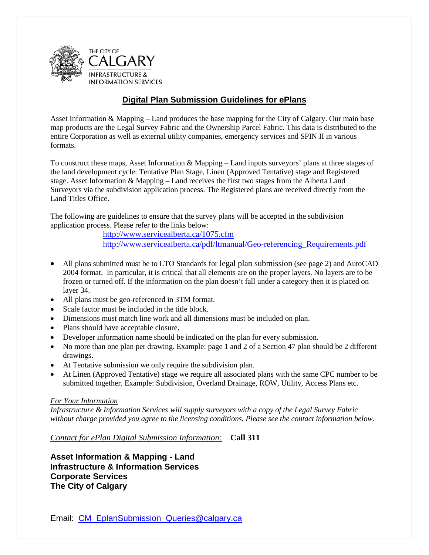

#### **Digital Plan Submission Guidelines for ePlans**

Asset Information & Mapping – Land produces the base mapping for the City of Calgary. Our main base map products are the Legal Survey Fabric and the Ownership Parcel Fabric. This data is distributed to the entire Corporation as well as external utility companies, emergency services and SPIN II in various formats.

To construct these maps, Asset Information & Mapping – Land inputs surveyors' plans at three stages of the land development cycle: Tentative Plan Stage, Linen (Approved Tentative) stage and Registered stage. Asset Information & Mapping – Land receives the first two stages from the Alberta Land Surveyors via the subdivision application process. The Registered plans are received directly from the Land Titles Office.

The following are guidelines to ensure that the survey plans will be accepted in the subdivision application process. Please refer to the links below:

<http://www.servicealberta.ca/1075.cfm>

[http://www.servicealberta.ca/pdf/ltmanual/Geo-referencing\\_Requirements.pdf](http://www.servicealberta.ca/pdf/ltmanual/Geo-referencing_Requirements.pdf)

- All plans submitted must be to LTO Standards for legal plan submission (see page 2) and AutoCAD 2004 format. In particular, it is critical that all elements are on the proper layers. No layers are to be frozen or turned off. If the information on the plan doesn't fall under a category then it is placed on layer 34.
- All plans must be geo-referenced in 3TM format.
- Scale factor must be included in the title block.
- Dimensions must match line work and all dimensions must be included on plan.
- Plans should have acceptable closure.
- Developer information name should be indicated on the plan for every submission.
- No more than one plan per drawing. Example: page 1 and 2 of a Section 47 plan should be 2 different drawings.
- At Tentative submission we only require the subdivision plan.
- At Linen (Approved Tentative) stage we require all associated plans with the same CPC number to be submitted together. Example: Subdivision, Overland Drainage, ROW, Utility, Access Plans etc.

#### *For Your Information*

*Infrastructure & Information Services will supply surveyors with a copy of the Legal Survey Fabric without charge provided you agree to the licensing conditions. Please see the contact information below.* 

*Contact for ePlan Digital Submission Information:* **Call 311**

**Asset Information & Mapping - Land Infrastructure & Information Services Corporate Services The City of Calgary**

Email: [CM\\_EplanSubmission\\_Queries@calgary.ca](mailto:CM_EplanSubmission_Queries@calgary.ca)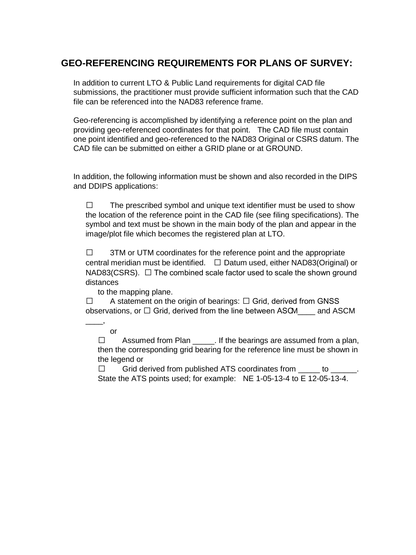## **GEO-REFERENCING REQUIREMENTS FOR PLANS OF SURVEY:**

In addition to current LTO & Public Land requirements for digital CAD file submissions, the practitioner must provide sufficient information such that the CAD file can be referenced into the NAD83 reference frame.

Geo-referencing is accomplished by identifying a reference point on the plan and providing geo-referenced coordinates for that point. The CAD file must contain one point identified and geo-referenced to the NAD83 Original or CSRS datum. The CAD file can be submitted on either a GRID plane or at GROUND.

In addition, the following information must be shown and also recorded in the DIPS and DDIPS applications:

 $\Box$  The prescribed symbol and unique text identifier must be used to show the location of the reference point in the CAD file (see filing specifications). The symbol and text must be shown in the main body of the plan and appear in the image/plot file which becomes the registered plan at LTO.

 $\Box$  3TM or UTM coordinates for the reference point and the appropriate central meridian must be identified.  $\square$  Datum used, either NAD83(Original) or NAD83(CSRS).  $\Box$  The combined scale factor used to scale the shown ground distances

to the mapping plane.

 $\Box$  A statement on the origin of bearings:  $\Box$  Grid, derived from GNSS observations, or  $\Box$  Grid, derived from the line between ASCM  $\Box$  and ASCM

 $\overline{\phantom{a}}$ or

> $\Box$  Assumed from Plan It the bearings are assumed from a plan, then the corresponding grid bearing for the reference line must be shown in the legend or

 $\Box$  Grid derived from published ATS coordinates from  $\Box$  to  $\Box$ State the ATS points used; for example: NE 1-05-13-4 to E 12-05-13-4.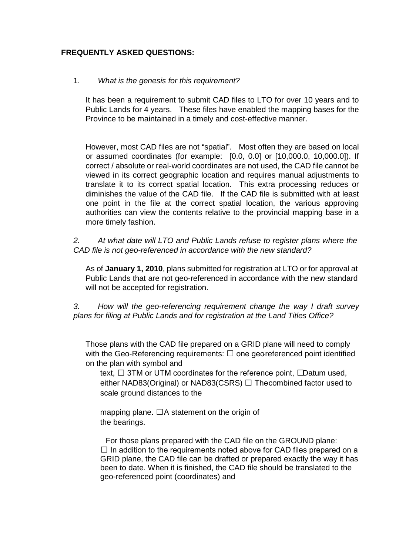#### **FREQUENTLY ASKED QUESTIONS:**

#### 1. *What is the genesis for this requirement?*

It has been a requirement to submit CAD files to LTO for over 10 years and to Public Lands for 4 years. These files have enabled the mapping bases for the Province to be maintained in a timely and cost-effective manner.

However, most CAD files are not "spatial". Most often they are based on local or assumed coordinates (for example: [0.0, 0.0] or [10,000.0, 10,000.0]). If correct / absolute or real-world coordinates are not used, the CAD file cannot be viewed in its correct geographic location and requires manual adjustments to translate it to its correct spatial location. This extra processing reduces or diminishes the value of the CAD file. If the CAD file is submitted with at least one point in the file at the correct spatial location, the various approving authorities can view the contents relative to the provincial mapping base in a more timely fashion.

*2. At what date will LTO and Public Lands refuse to register plans where the CAD file is not geo-referenced in accordance with the new standard?* 

As of **January 1, 2010**, plans submitted for registration at LTO or for approval at Public Lands that are not geo-referenced in accordance with the new standard will not be accepted for registration.

*3. How will the geo-referencing requirement change the way I draft survey plans for filing at Public Lands and for registration at the Land Titles Office?* 

Those plans with the CAD file prepared on a GRID plane will need to comply with the Geo-Referencing requirements:  $\Box$  one georeferenced point identified on the plan with symbol and

text,  $\Box$  3TM or UTM coordinates for the reference point,  $\Box$ Datum used, either NAD83(Original) or NAD83(CSRS) □ The combined factor used to scale ground distances to the

mapping plane.  $\Box A$  statement on the origin of the bearings.

For those plans prepared with the CAD file on the GROUND plane:  $\Box$  In addition to the requirements noted above for CAD files prepared on a GRID plane, the CAD file can be drafted or prepared exactly the way it has been to date. When it is finished, the CAD file should be translated to the geo-referenced point (coordinates) and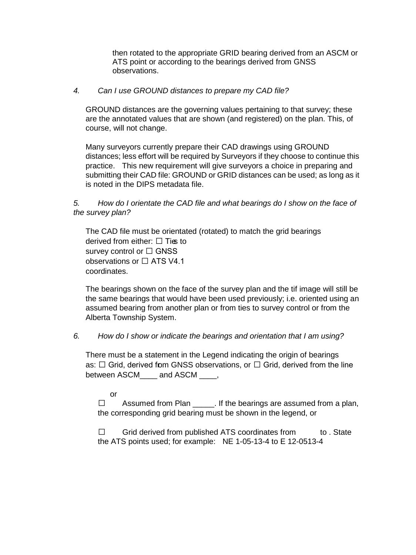then rotated to the appropriate GRID bearing derived from an ASCM or ATS point or according to the bearings derived from GNSS observations.

#### *4. Can I use GROUND distances to prepare my CAD file?*

GROUND distances are the governing values pertaining to that survey; these are the annotated values that are shown (and registered) on the plan. This, of course, will not change.

Many surveyors currently prepare their CAD drawings using GROUND distances; less effort will be required by Surveyors if they choose to continue this practice. This new requirement will give surveyors a choice in preparing and submitting their CAD file: GROUND or GRID distances can be used; as long as it is noted in the DIPS metadata file.

#### *5. How do I orientate the CAD file and what bearings do I show on the face of the survey plan?*

The CAD file must be orientated (rotated) to match the grid bearings derived from either:  $\Box$  Ties to survey control or  $\Box$  GNSS observations or  $\Box$  ATS V4.1 coordinates.

The bearings shown on the face of the survey plan and the tif image will still be the same bearings that would have been used previously; i.e. oriented using an assumed bearing from another plan or from ties to survey control or from the Alberta Township System.

#### *6. How do I show or indicate the bearings and orientation that I am using?*

There must be a statement in the Legend indicating the origin of bearings as:  $\Box$  Grid, derived from GNSS observations, or  $\Box$  Grid, derived from the line between ASCM\_\_\_\_ and ASCM \_\_\_\_,

or

 $\Box$  Assumed from Plan \_\_\_\_\_. If the bearings are assumed from a plan, the corresponding grid bearing must be shown in the legend, or

 $\Box$  Grid derived from published ATS coordinates from to . State the ATS points used; for example: NE 1-05-13-4 to E 12-0513-4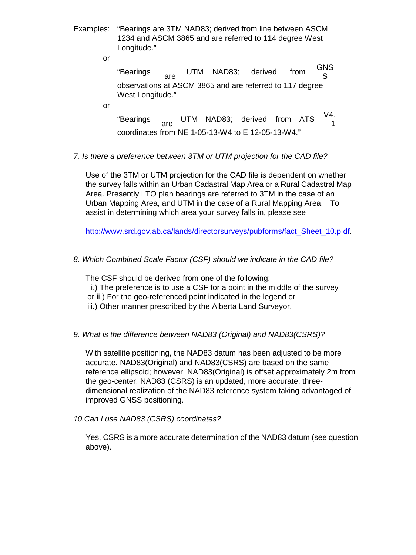Examples: "Bearings are 3TM NAD83; derived from line between ASCM 1234 and ASCM 3865 and are referred to 114 degree West Longitude."

or

"Bearings are UTM NAD83; derived from GNS S observations at ASCM 3865 and are referred to 117 degree West Longitude."

or

"Bearings <sub>are</sub> UTM NAD83; derived from ATS  $\frac{V4}{4}$ 1 coordinates from NE 1-05-13-W4 to E 12-05-13-W4."

#### *7. Is there a preference between 3TM or UTM projection for the CAD file?*

Use of the 3TM or UTM projection for the CAD file is dependent on whether the survey falls within an Urban Cadastral Map Area or a Rural Cadastral Map Area. Presently LTO plan bearings are referred to 3TM in the case of an Urban Mapping Area, and UTM in the case of a Rural Mapping Area. To assist in determining which area your survey falls in, please see

[http://www.srd.gov.ab.ca/lands/directorsurveys/pubforms/fact\\_Sheet\\_10.p df](http://www.srd.gov.ab.ca/lands/directorsurveys/pubforms/fact_Sheet_10.pdf).

#### *8. Which Combined Scale Factor (CSF) should we indicate in the CAD file?*

The CSF should be derived from one of the following:

- i.) The preference is to use a CSF for a point in the middle of the survey
- or ii.) For the geo-referenced point indicated in the legend or
- iii.) Other manner prescribed by the Alberta Land Surveyor.

#### *9. What is the difference between NAD83 (Original) and NAD83(CSRS)?*

With satellite positioning, the NAD83 datum has been adjusted to be more accurate. NAD83(Original) and NAD83(CSRS) are based on the same reference ellipsoid; however, NAD83(Original) is offset approximately 2m from the geo-center. NAD83 (CSRS) is an updated, more accurate, threedimensional realization of the NAD83 reference system taking advantaged of improved GNSS positioning.

#### *10.Can I use NAD83 (CSRS) coordinates?*

Yes, CSRS is a more accurate determination of the NAD83 datum (see question above).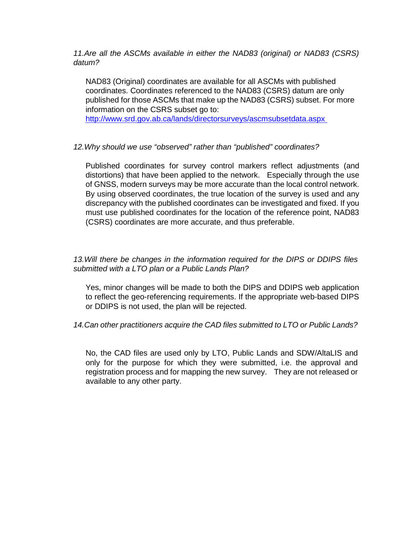*11.Are all the ASCMs available in either the NAD83 (original) or NAD83 (CSRS) datum?* 

NAD83 (Original) coordinates are available for all ASCMs with published coordinates. Coordinates referenced to the NAD83 (CSRS) datum are only published for those ASCMs that make up the NAD83 (CSRS) subset. For more information on the CSRS subset go to:

<http://www.srd.gov.ab.ca/lands/directorsurveys/ascmsubsetdata.aspx>

#### *12.Why should we use "observed" rather than "published" coordinates?*

Published coordinates for survey control markers reflect adjustments (and distortions) that have been applied to the network. Especially through the use of GNSS, modern surveys may be more accurate than the local control network. By using observed coordinates, the true location of the survey is used and any discrepancy with the published coordinates can be investigated and fixed. If you must use published coordinates for the location of the reference point, NAD83 (CSRS) coordinates are more accurate, and thus preferable.

#### *13.Will there be changes in the information required for the DIPS or DDIPS files submitted with a LTO plan or a Public Lands Plan?*

Yes, minor changes will be made to both the DIPS and DDIPS web application to reflect the geo-referencing requirements. If the appropriate web-based DIPS or DDIPS is not used, the plan will be rejected.

*14.Can other practitioners acquire the CAD files submitted to LTO or Public Lands?* 

No, the CAD files are used only by LTO, Public Lands and SDW/AltaLIS and only for the purpose for which they were submitted, i.e. the approval and registration process and for mapping the new survey. They are not released or available to any other party.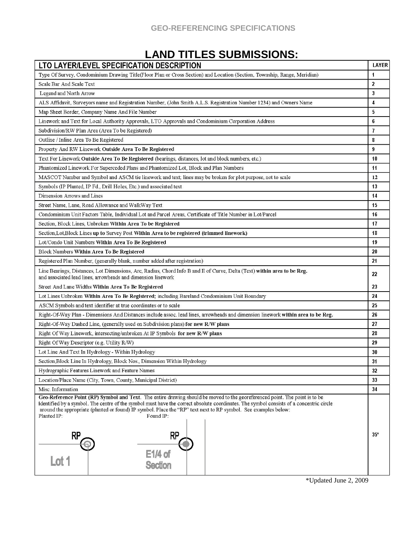## **LAND TITLES SUBMISSIONS:**

| LTO LAYER/LEVEL SPECIFICATION DESCRIPTION                                                                                                                                                                                                                                                                                                                                                                             | <b>LAYER</b>   |
|-----------------------------------------------------------------------------------------------------------------------------------------------------------------------------------------------------------------------------------------------------------------------------------------------------------------------------------------------------------------------------------------------------------------------|----------------|
| Type Of Survey, Condominium Drawing Title(Floor Plan or Cross Section) and Location (Section, Township, Range, Meridian)                                                                                                                                                                                                                                                                                              | $\mathbf{1}$   |
| Scale Bar And Scale Text                                                                                                                                                                                                                                                                                                                                                                                              | $\overline{2}$ |
| Legend and North Arrow                                                                                                                                                                                                                                                                                                                                                                                                | 3              |
| ALS Affidavit, Surveyors name and Registration Number, (John Smith A.L.S. Registration Number 1234) and Owners Name                                                                                                                                                                                                                                                                                                   | 4              |
| Map Sheet Border, Company Name And File Number                                                                                                                                                                                                                                                                                                                                                                        | 5              |
| Linework and Text for Local Authority Approvals, LTO Approvals and Condominium Corporation Address                                                                                                                                                                                                                                                                                                                    | 6              |
| Subdivision/RW Plan Area (Area To be Registered)                                                                                                                                                                                                                                                                                                                                                                      | $\overline{1}$ |
| Outline / Inline Area To Be Registered                                                                                                                                                                                                                                                                                                                                                                                | 8              |
| Property And RW Linework Outside Area To Be Registered                                                                                                                                                                                                                                                                                                                                                                |                |
| Text For Linework Outside Area To Be Registered (bearings, distances, lot and block numbers, etc.)                                                                                                                                                                                                                                                                                                                    | 10             |
| Phantomized Linework For Superceded Plans and Phantomized Lot, Block and Plan Numbers                                                                                                                                                                                                                                                                                                                                 |                |
| MASCOT Number and Symbol and ASCM tie linework and text; lines may be broken for plot purpose, not to scale                                                                                                                                                                                                                                                                                                           |                |
| Symbols (IP Planted, IP Fd., Drill Holes, Etc.) and associated text                                                                                                                                                                                                                                                                                                                                                   | 13             |
| Dimension Arrows and Lines                                                                                                                                                                                                                                                                                                                                                                                            | 14             |
| Street Name, Lane, Road Allowance and WalkWay Text                                                                                                                                                                                                                                                                                                                                                                    | 15             |
| Condominium Unit Factors Table, Individual Lot and Parcel Areas, Certificate of Title Number in Lot/Parcel                                                                                                                                                                                                                                                                                                            | 16             |
| Section, Block Lines, Unbroken Within Area To be Registered                                                                                                                                                                                                                                                                                                                                                           | 17             |
| Section, Lot, Block Lines up to Survey Post Within Area to be registered (trimmed linework)                                                                                                                                                                                                                                                                                                                           | 18             |
| Lot/Condo Unit Numbers Within Area To Be Registered                                                                                                                                                                                                                                                                                                                                                                   | 19             |
| Block Numbers Within Area To Be Registered                                                                                                                                                                                                                                                                                                                                                                            | 20             |
| Registered Plan Number, (generally blank, number added after registration)                                                                                                                                                                                                                                                                                                                                            | 21             |
| Line Bearings, Distances, Lot Dimensions, Arc, Radius, Chord Info B and E of Curve, Delta (Text) within area to be Reg.<br>and associated lead lines, arrowheads and dimension linework                                                                                                                                                                                                                               | 22             |
| Street And Lane Widths Within Area To Be Registered                                                                                                                                                                                                                                                                                                                                                                   | 23             |
| Lot Lines Unbroken Within Area To Be Registered; including Bareland Condominium Unit Boundary                                                                                                                                                                                                                                                                                                                         | 24             |
| ASCM Symbols and text identifier at true coordinates or to scale                                                                                                                                                                                                                                                                                                                                                      |                |
| Right-Of-Way Plan - Dimensions And Distances include assoc. lead lines, arrowheads and dimension linework within area to be Reg.                                                                                                                                                                                                                                                                                      |                |
| Right-Of-Way Dashed Line, (generally used on Subdivision plans) for new R/W plans                                                                                                                                                                                                                                                                                                                                     |                |
| 28<br>Right Of Way Linework, intersecting/unbroken At IP Symbols for new R/W plans                                                                                                                                                                                                                                                                                                                                    |                |
| Right Of Way Descriptor (e.g. Utility R/W)                                                                                                                                                                                                                                                                                                                                                                            | 29             |
| Lot Line And Text In Hydrology - Within Hydrology                                                                                                                                                                                                                                                                                                                                                                     | 30             |
| Section, Block Line In Hydrology, Block Nos., Dimension Within Hydrology                                                                                                                                                                                                                                                                                                                                              | 31             |
| Hydrographic Features Linework and Feature Names                                                                                                                                                                                                                                                                                                                                                                      | 32             |
| Location/Place Name (City, Town, County, Municipal District)                                                                                                                                                                                                                                                                                                                                                          | 33             |
| Misc. Information                                                                                                                                                                                                                                                                                                                                                                                                     | 34             |
| Geo-Reference Point (RP) Symbol and Text. The entire drawing should be moved to the georeferenced point. The point is to be<br>identified by a symbol. The centre of the symbol must have the correct absolute coordinates. The symbol consists of a concentric circle<br>around the appropriate (planted or found) IP symbol. Place the "RP" text next to RP symbol. See examples below:<br>Found IP:<br>Planted IP: |                |
| RP<br>RP<br>E1/4 of<br>Lot 1<br><b>Section</b>                                                                                                                                                                                                                                                                                                                                                                        | $35*$          |

\*Updated June 2, 2009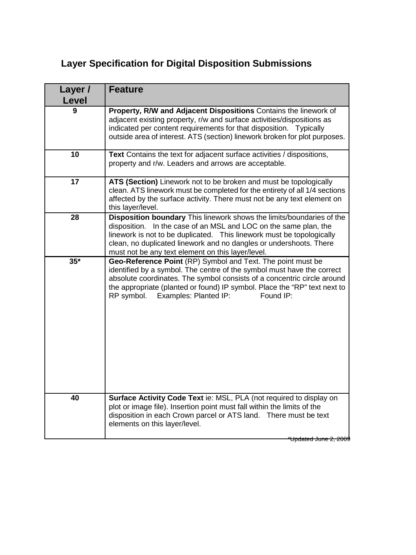# **Layer Specification for Digital Disposition Submissions**

| Layer /<br><b>Level</b> | <b>Feature</b>                                                                                                                                                                                                                                                                                                                                 |
|-------------------------|------------------------------------------------------------------------------------------------------------------------------------------------------------------------------------------------------------------------------------------------------------------------------------------------------------------------------------------------|
| 9                       | Property, R/W and Adjacent Dispositions Contains the linework of<br>adjacent existing property, r/w and surface activities/dispositions as<br>indicated per content requirements for that disposition. Typically<br>outside area of interest. ATS (section) linework broken for plot purposes.                                                 |
| 10                      | Text Contains the text for adjacent surface activities / dispositions,<br>property and r/w. Leaders and arrows are acceptable.                                                                                                                                                                                                                 |
| 17                      | ATS (Section) Linework not to be broken and must be topologically<br>clean. ATS linework must be completed for the entirety of all 1/4 sections<br>affected by the surface activity. There must not be any text element on<br>this layer/level.                                                                                                |
| 28                      | Disposition boundary This linework shows the limits/boundaries of the<br>disposition. In the case of an MSL and LOC on the same plan, the<br>linework is not to be duplicated. This linework must be topologically<br>clean, no duplicated linework and no dangles or undershoots. There<br>must not be any text element on this layer/level.  |
| $35*$                   | Geo-Reference Point (RP) Symbol and Text. The point must be<br>identified by a symbol. The centre of the symbol must have the correct<br>absolute coordinates. The symbol consists of a concentric circle around<br>the appropriate (planted or found) IP symbol. Place the "RP" text next to<br>RP symbol. Examples: Planted IP:<br>Found IP: |
| 40                      | Surface Activity Code Text ie: MSL, PLA (not required to display on<br>plot or image file). Insertion point must fall within the limits of the<br>disposition in each Crown parcel or ATS land. There must be text<br>elements on this layer/level.<br><del>Updated June ź</del>                                                               |